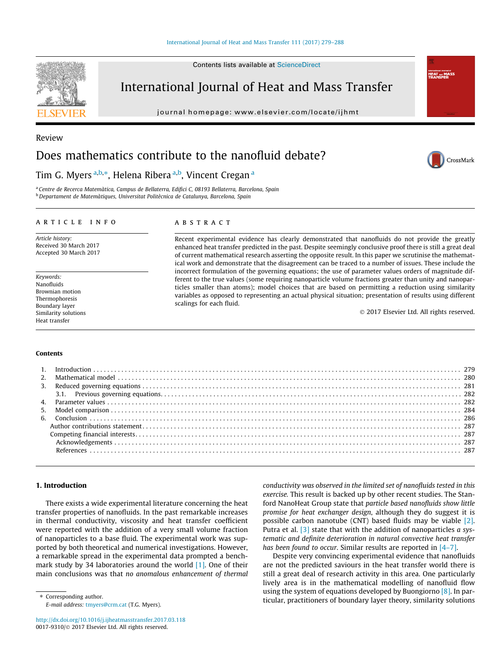### [International Journal of Heat and Mass Transfer 111 \(2017\) 279–288](http://dx.doi.org/10.1016/j.ijheatmasstransfer.2017.03.118)

# International Journal of Heat and Mass Transfer

journal homepage: [www.elsevier.com/locate/ijhmt](http://www.elsevier.com/locate/ijhmt)



# Tim G. Myers <sup>a,b,</sup>\*, Helena Ribera <sup>a,b</sup>, Vincent Cregan <sup>a</sup>

<sup>a</sup> Centre de Recerca Matemàtica, Campus de Bellaterra, Edifici C, 08193 Bellaterra, Barcelona, Spain <sup>b</sup> Departament de Matemàtiques, Universitat Politècnica de Catalunya, Barcelona, Spain

# article info

Article history: Received 30 March 2017 Accepted 30 March 2017

Keywords: Nanofluids Brownian motion Thermophoresis Boundary layer Similarity solutions Heat transfer

# **ABSTRACT**

Recent experimental evidence has clearly demonstrated that nanofluids do not provide the greatly enhanced heat transfer predicted in the past. Despite seemingly conclusive proof there is still a great deal of current mathematical research asserting the opposite result. In this paper we scrutinise the mathematical work and demonstrate that the disagreement can be traced to a number of issues. These include the incorrect formulation of the governing equations; the use of parameter values orders of magnitude different to the true values (some requiring nanoparticle volume fractions greater than unity and nanoparticles smaller than atoms); model choices that are based on permitting a reduction using similarity variables as opposed to representing an actual physical situation; presentation of results using different scalings for each fluid.

2017 Elsevier Ltd. All rights reserved.

#### Contents

## 1. Introduction

There exists a wide experimental literature concerning the heat transfer properties of nanofluids. In the past remarkable increases in thermal conductivity, viscosity and heat transfer coefficient were reported with the addition of a very small volume fraction of nanoparticles to a base fluid. The experimental work was supported by both theoretical and numerical investigations. However, a remarkable spread in the experimental data prompted a bench-mark study by 34 laboratories around the world [\[1\]](#page--1-0). One of their main conclusions was that no anomalous enhancement of thermal

⇑ Corresponding author. E-mail address: [tmyers@crm.cat](mailto:tmyers@crm.cat) (T.G. Myers).

<http://dx.doi.org/10.1016/j.ijheatmasstransfer.2017.03.118> 0017-9310/@ 2017 Elsevier Ltd. All rights reserved.

conductivity was observed in the limited set of nanofluids tested in this exercise. This result is backed up by other recent studies. The Stanford NanoHeat Group state that particle based nanofluids show little promise for heat exchanger design, although they do suggest it is possible carbon nanotube (CNT) based fluids may be viable [\[2\].](#page--1-0) Putra et al. [\[3\]](#page--1-0) state that with the addition of nanoparticles a systematic and definite deterioration in natural convective heat transfer has been found to occur. Similar results are reported in [\[4–7\].](#page--1-0)

Despite very convincing experimental evidence that nanofluids are not the predicted saviours in the heat transfer world there is still a great deal of research activity in this area. One particularly lively area is in the mathematical modelling of nanofluid flow using the system of equations developed by Buongiorno [\[8\]](#page--1-0). In particular, practitioners of boundary layer theory, similarity solutions



Review



International Journ<br>HEAT and M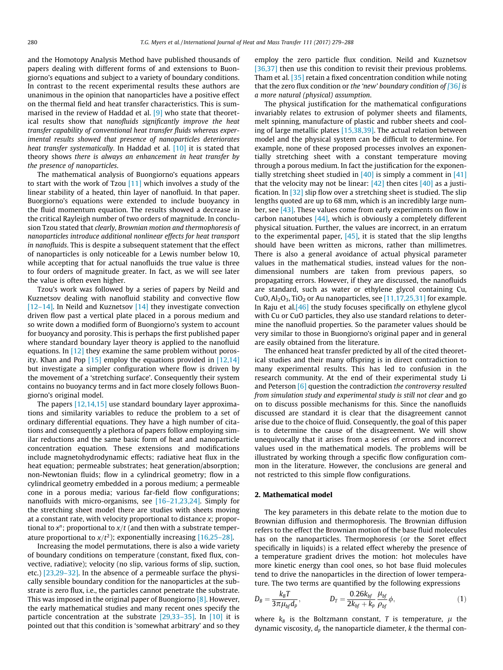and the Homotopy Analysis Method have published thousands of papers dealing with different forms of and extensions to Buongiorno's equations and subject to a variety of boundary conditions. In contrast to the recent experimental results these authors are unanimous in the opinion that nanoparticles have a positive effect on the thermal field and heat transfer characteristics. This is summarised in the review of Haddad et al. [\[9\]](#page--1-0) who state that theoretical results show that nanofluids significantly improve the heat transfer capability of conventional heat transfer fluids whereas experimental results showed that presence of nanoparticles deteriorates heat transfer systematically. In Haddad et al. [\[10\]](#page--1-0) it is stated that theory shows there is always an enhancement in heat transfer by the presence of nanoparticles.

The mathematical analysis of Buongiorno's equations appears to start with the work of Tzou [\[11\]](#page--1-0) which involves a study of the linear stability of a heated, thin layer of nanofluid. In that paper. Buorgiorno's equations were extended to include buoyancy in the fluid momentum equation. The results showed a decrease in the critical Rayleigh number of two orders of magnitude. In conclusion Tzou stated that clearly, Brownian motion and thermophoresis of nanoparticles introduce additional nonlinear effects for heat transport in nanofluids. This is despite a subsequent statement that the effect of nanoparticles is only noticeable for a Lewis number below 10, while accepting that for actual nanofluids the true value is three to four orders of magnitude greater. In fact, as we will see later the value is often even higher.

Tzou's work was followed by a series of papers by Neild and Kuznetsov dealing with nanofluid stability and convective flow [\[12–14\]](#page--1-0). In Neild and Kuznetsov [\[14\]](#page--1-0) they investigate convection driven flow past a vertical plate placed in a porous medium and so write down a modified form of Buongiorno's system to account for buoyancy and porosity. This is perhaps the first published paper where standard boundary layer theory is applied to the nanofluid equations. In  $[12]$  they examine the same problem without porosity. Khan and Pop [\[15\]](#page--1-0) employ the equations provided in [\[12,14\]](#page--1-0) but investigate a simpler configuration where flow is driven by the movement of a 'stretching surface'. Consequently their system contains no buoyancy terms and in fact more closely follows Buongiorno's original model.

The papers [\[12,14,15\]](#page--1-0) use standard boundary layer approximations and similarity variables to reduce the problem to a set of ordinary differential equations. They have a high number of citations and consequently a plethora of papers follow employing similar reductions and the same basic form of heat and nanoparticle concentration equation. These extensions and modifications include magnetohydrodynamic effects; radiative heat flux in the heat equation; permeable substrates; heat generation/absorption; non-Newtonian fluids; flow in a cylindrical geometry; flow in a cylindrical geometry embedded in a porous medium; a permeable cone in a porous media; various far-field flow configurations; nanofluids with micro-organisms, see [\[16–21,23,24\].](#page--1-0) Simply for the stretching sheet model there are studies with sheets moving at a constant rate, with velocity proportional to distance x; proportional to  $x^n$ ; proportional to  $x/t$  (and then with a substrate temperature proportional to  $x/t^2$ ); exponentially increasing [\[16,25–28\]](#page--1-0).

Increasing the model permutations, there is also a wide variety of boundary conditions on temperature (constant, fixed flux, convective, radiative); velocity (no slip, various forms of slip, suction, etc.) [\[23,29–32\].](#page--1-0) In the absence of a permeable surface the physically sensible boundary condition for the nanoparticles at the substrate is zero flux, i.e., the particles cannot penetrate the substrate. This was imposed in the original paper of Buongiorno [\[8\]](#page--1-0). However, the early mathematical studies and many recent ones specify the particle concentration at the substrate [\[29,33–35\]](#page--1-0). In [\[10\]](#page--1-0) it is pointed out that this condition is 'somewhat arbitrary' and so they

employ the zero particle flux condition. Neild and Kuznetsov [\[36,37\]](#page--1-0) then use this condition to revisit their previous problems. Tham et al. [\[35\]](#page--1-0) retain a fixed concentration condition while noting that the zero flux condition or the 'new' boundary condition of  $[36]$  $[36]$  $[36]$  is a more natural (physical) assumption.

The physical justification for the mathematical configurations invariably relates to extrusion of polymer sheets and filaments, melt spinning, manufacture of plastic and rubber sheets and cooling of large metallic plates [\[15,38,39\].](#page--1-0) The actual relation between model and the physical system can be difficult to determine. For example, none of these proposed processes involves an exponentially stretching sheet with a constant temperature moving through a porous medium. In fact the justification for the exponentially stretching sheet studied in  $[40]$  is simply a comment in  $[41]$ that the velocity may not be linear:  $[42]$  then cites  $[40]$  as a justification. In [\[32\]](#page--1-0) slip flow over a stretching sheet is studied. The slip lengths quoted are up to 68 mm, which is an incredibly large number, see [\[43\].](#page--1-0) These values come from early experiments on flow in carbon nanotubes  $[44]$ , which is obviously a completely different physical situation. Further, the values are incorrect, in an erratum to the experimental paper,  $[45]$ , it is stated that the slip lengths should have been written as microns, rather than millimetres. There is also a general avoidance of actual physical parameter values in the mathematical studies, instead values for the nondimensional numbers are taken from previous papers, so propagating errors. However, if they are discussed, the nanofluids are standard, such as water or ethylene glycol containing Cu, CuO,  $Al_2O_3$ , TiO<sub>2</sub> or Au nanoparticles, see [\[11,17,25,31\]](#page--1-0) for example. In Raju et al[.\[46\]](#page--1-0) the study focuses specifically on ethylene glycol with Cu or CuO particles, they also use standard relations to determine the nanofluid properties. So the parameter values should be very similar to those in Buongiorno's original paper and in general are easily obtained from the literature.

The enhanced heat transfer predicted by all of the cited theoretical studies and their many offspring is in direct contradiction to many experimental results. This has led to confusion in the research community. At the end of their experimental study Li and Peterson  $[6]$  question the contradiction the controversy resulted from simulation study and experimental study is still not clear and go on to discuss possible mechanisms for this. Since the nanofluids discussed are standard it is clear that the disagreement cannot arise due to the choice of fluid. Consequently, the goal of this paper is to determine the cause of the disagreement. We will show unequivocally that it arises from a series of errors and incorrect values used in the mathematical models. The problems will be illustrated by working through a specific flow configuration common in the literature. However, the conclusions are general and not restricted to this simple flow configurations.

## 2. Mathematical model

The key parameters in this debate relate to the motion due to Brownian diffusion and thermophoresis. The Brownian diffusion refers to the effect the Brownian motion of the base fluid molecules has on the nanoparticles. Thermophoresis (or the Soret effect specifically in liquids) is a related effect whereby the presence of a temperature gradient drives the motion: hot molecules have more kinetic energy than cool ones, so hot base fluid molecules tend to drive the nanoparticles in the direction of lower temperature. The two terms are quantified by the following expressions

$$
D_B = \frac{k_B T}{3\pi \mu_{bf} d_p}, \qquad D_T = \frac{0.26 k_{bf}}{2k_{bf} + k_p} \frac{\mu_{bf}}{\rho_{bf}} \phi, \tag{1}
$$

where  $k_B$  is the Boltzmann constant, T is temperature,  $\mu$  the dynamic viscosity,  $d_p$  the nanoparticle diameter,  $k$  the thermal con